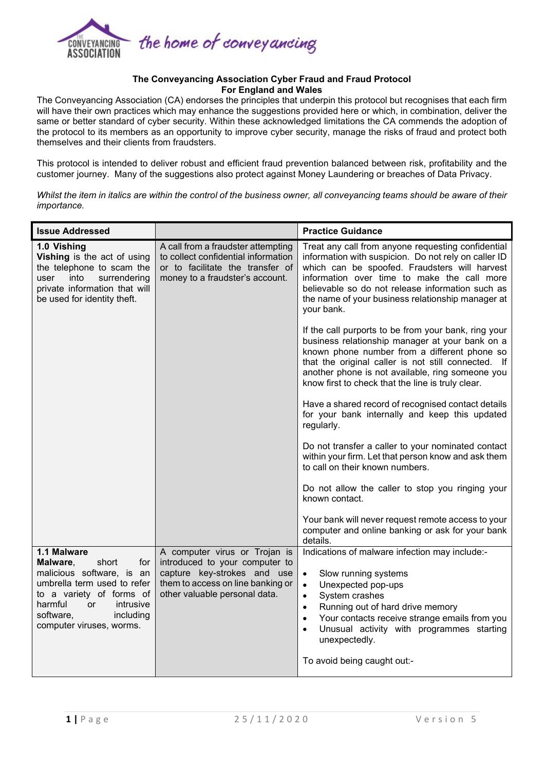

## **The Conveyancing Association Cyber Fraud and Fraud Protocol For England and Wales**

The Conveyancing Association (CA) endorses the principles that underpin this protocol but recognises that each firm will have their own practices which may enhance the suggestions provided here or which, in combination, deliver the same or better standard of cyber security. Within these acknowledged limitations the CA commends the adoption of the protocol to its members as an opportunity to improve cyber security, manage the risks of fraud and protect both themselves and their clients from fraudsters.

This protocol is intended to deliver robust and efficient fraud prevention balanced between risk, profitability and the customer journey. Many of the suggestions also protect against Money Laundering or breaches of Data Privacy.

*Whilst the item in italics are within the control of the business owner, all conveyancing teams should be aware of their importance.*

| <b>Issue Addressed</b>                                                                                                                                                                                                     |                                                                                                                                                                      | <b>Practice Guidance</b>                                                                                                                                                                                                                                                                                                                                                       |
|----------------------------------------------------------------------------------------------------------------------------------------------------------------------------------------------------------------------------|----------------------------------------------------------------------------------------------------------------------------------------------------------------------|--------------------------------------------------------------------------------------------------------------------------------------------------------------------------------------------------------------------------------------------------------------------------------------------------------------------------------------------------------------------------------|
| 1.0 Vishing<br>Vishing is the act of using<br>the telephone to scam the<br>into<br>surrendering<br>user<br>private information that will<br>be used for identity theft.                                                    | A call from a fraudster attempting<br>to collect confidential information<br>or to facilitate the transfer of<br>money to a fraudster's account.                     | Treat any call from anyone requesting confidential<br>information with suspicion. Do not rely on caller ID<br>which can be spoofed. Fraudsters will harvest<br>information over time to make the call more<br>believable so do not release information such as<br>the name of your business relationship manager at<br>your bank.                                              |
|                                                                                                                                                                                                                            |                                                                                                                                                                      | If the call purports to be from your bank, ring your<br>business relationship manager at your bank on a<br>known phone number from a different phone so<br>that the original caller is not still connected. If<br>another phone is not available, ring someone you<br>know first to check that the line is truly clear.                                                        |
|                                                                                                                                                                                                                            |                                                                                                                                                                      | Have a shared record of recognised contact details<br>for your bank internally and keep this updated<br>regularly.                                                                                                                                                                                                                                                             |
|                                                                                                                                                                                                                            |                                                                                                                                                                      | Do not transfer a caller to your nominated contact<br>within your firm. Let that person know and ask them<br>to call on their known numbers.                                                                                                                                                                                                                                   |
|                                                                                                                                                                                                                            |                                                                                                                                                                      | Do not allow the caller to stop you ringing your<br>known contact.                                                                                                                                                                                                                                                                                                             |
|                                                                                                                                                                                                                            |                                                                                                                                                                      | Your bank will never request remote access to your<br>computer and online banking or ask for your bank<br>details.                                                                                                                                                                                                                                                             |
| 1.1 Malware<br>short<br>Malware,<br>for<br>malicious software, is an<br>umbrella term used to refer<br>to a variety of forms of<br>harmful<br><b>or</b><br>intrusive<br>software,<br>including<br>computer viruses, worms. | A computer virus or Trojan is<br>introduced to your computer to<br>capture key-strokes and use<br>them to access on line banking or<br>other valuable personal data. | Indications of malware infection may include:-<br>Slow running systems<br>$\bullet$<br>Unexpected pop-ups<br>$\bullet$<br>System crashes<br>$\bullet$<br>Running out of hard drive memory<br>$\bullet$<br>Your contacts receive strange emails from you<br>$\bullet$<br>Unusual activity with programmes starting<br>$\bullet$<br>unexpectedly.<br>To avoid being caught out:- |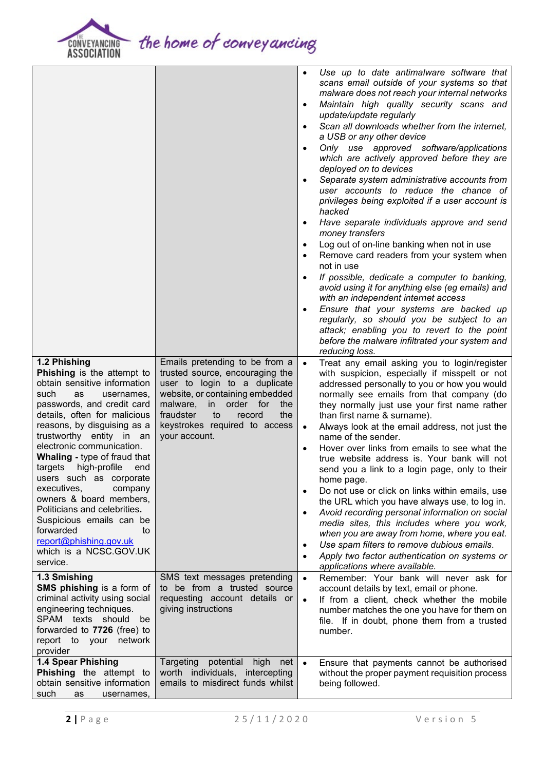

the home of conveyancing

|                                                                                                                                                                                                                                                                                                                                                                                                                                                                                                                                                                      |                                                                                                                                                                                                                                                                  | $\bullet$<br>$\bullet$<br>$\bullet$<br>$\bullet$<br>$\bullet$<br>$\bullet$<br>$\bullet$<br>$\bullet$<br>$\bullet$ | Use up to date antimalware software that<br>scans email outside of your systems so that<br>malware does not reach your internal networks<br>Maintain high quality security scans and<br>update/update regularly<br>Scan all downloads whether from the internet,<br>a USB or any other device<br>Only use approved software/applications<br>which are actively approved before they are<br>deployed on to devices<br>Separate system administrative accounts from<br>user accounts to reduce the chance of<br>privileges being exploited if a user account is<br>hacked<br>Have separate individuals approve and send<br>money transfers<br>Log out of on-line banking when not in use<br>Remove card readers from your system when<br>not in use<br>If possible, dedicate a computer to banking,<br>avoid using it for anything else (eg emails) and<br>with an independent internet access<br>Ensure that your systems are backed up<br>regularly, so should you be subject to an<br>attack; enabling you to revert to the point<br>before the malware infiltrated your system and<br>reducing loss. |
|----------------------------------------------------------------------------------------------------------------------------------------------------------------------------------------------------------------------------------------------------------------------------------------------------------------------------------------------------------------------------------------------------------------------------------------------------------------------------------------------------------------------------------------------------------------------|------------------------------------------------------------------------------------------------------------------------------------------------------------------------------------------------------------------------------------------------------------------|-------------------------------------------------------------------------------------------------------------------|--------------------------------------------------------------------------------------------------------------------------------------------------------------------------------------------------------------------------------------------------------------------------------------------------------------------------------------------------------------------------------------------------------------------------------------------------------------------------------------------------------------------------------------------------------------------------------------------------------------------------------------------------------------------------------------------------------------------------------------------------------------------------------------------------------------------------------------------------------------------------------------------------------------------------------------------------------------------------------------------------------------------------------------------------------------------------------------------------------|
| 1.2 Phishing<br>Phishing is the attempt to<br>obtain sensitive information<br>such<br>as<br>usernames,<br>passwords, and credit card<br>details, often for malicious<br>reasons, by disguising as a<br>trustworthy entity in an<br>electronic communication.<br><b>Whaling - type of fraud that</b><br>high-profile<br>targets<br>end<br>users such as corporate<br>executives,<br>company<br>owners & board members,<br>Politicians and celebrities.<br>Suspicious emails can be<br>forwarded<br>to<br>report@phishing.gov.uk<br>which is a NCSC.GOV.UK<br>service. | Emails pretending to be from a<br>trusted source, encouraging the<br>user to login to a duplicate<br>website, or containing embedded<br>malware,<br>order for<br>in<br>the<br>fraudster<br>the<br>to<br>record<br>keystrokes required to access<br>your account. | $\bullet$<br>$\bullet$<br>$\bullet$<br>$\bullet$<br>$\bullet$<br>$\bullet$<br>$\bullet$                           | Treat any email asking you to login/register<br>with suspicion, especially if misspelt or not<br>addressed personally to you or how you would<br>normally see emails from that company (do<br>they normally just use your first name rather<br>than first name & surname).<br>Always look at the email address, not just the<br>name of the sender.<br>Hover over links from emails to see what the<br>true website address is. Your bank will not<br>send you a link to a login page, only to their<br>home page.<br>Do not use or click on links within emails, use<br>the URL which you have always use, to log in.<br>Avoid recording personal information on social<br>media sites, this includes where you work,<br>when you are away from home, where you eat.<br>Use spam filters to remove dubious emails.<br>Apply two factor authentication on systems or<br>applications where available.                                                                                                                                                                                                  |
| 1.3 Smishing<br>SMS phishing is a form of<br>criminal activity using social<br>engineering techniques.<br>SPAM texts should<br>be<br>forwarded to 7726 (free) to<br>network<br>report to your<br>provider                                                                                                                                                                                                                                                                                                                                                            | SMS text messages pretending<br>to be from a trusted source<br>requesting account details or<br>giving instructions                                                                                                                                              | $\bullet$<br>$\bullet$                                                                                            | Remember: Your bank will never ask for<br>account details by text, email or phone.<br>If from a client, check whether the mobile<br>number matches the one you have for them on<br>file. If in doubt, phone them from a trusted<br>number.                                                                                                                                                                                                                                                                                                                                                                                                                                                                                                                                                                                                                                                                                                                                                                                                                                                             |
| 1.4 Spear Phishing<br>Phishing the attempt to<br>obtain sensitive information<br>such<br>as<br>usernames,                                                                                                                                                                                                                                                                                                                                                                                                                                                            | potential<br>Targeting<br>high<br>net<br>worth individuals, intercepting<br>emails to misdirect funds whilst                                                                                                                                                     | $\bullet$                                                                                                         | Ensure that payments cannot be authorised<br>without the proper payment requisition process<br>being followed.                                                                                                                                                                                                                                                                                                                                                                                                                                                                                                                                                                                                                                                                                                                                                                                                                                                                                                                                                                                         |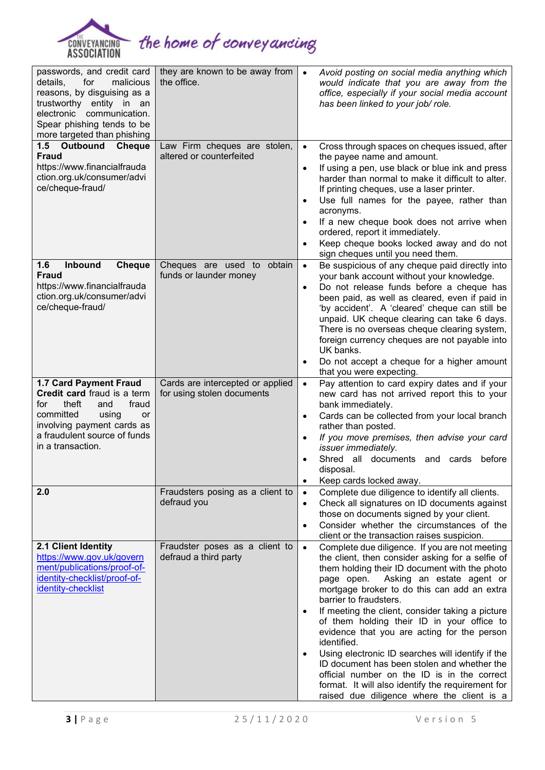

| passwords, and credit card<br>for<br>malicious<br>details,<br>reasons, by disguising as a<br>trustworthy entity in an<br>electronic communication.<br>Spear phishing tends to be<br>more targeted than phishing | they are known to be away from<br>the office.                  | Avoid posting on social media anything which<br>$\bullet$<br>would indicate that you are away from the<br>office, especially if your social media account<br>has been linked to your job/ role.                                                                                                                                                                                                                                                                                                                                                                                                                                                                                        |
|-----------------------------------------------------------------------------------------------------------------------------------------------------------------------------------------------------------------|----------------------------------------------------------------|----------------------------------------------------------------------------------------------------------------------------------------------------------------------------------------------------------------------------------------------------------------------------------------------------------------------------------------------------------------------------------------------------------------------------------------------------------------------------------------------------------------------------------------------------------------------------------------------------------------------------------------------------------------------------------------|
| 1.5 Outbound Cheque<br><b>Fraud</b><br>https://www.financialfrauda<br>ction.org.uk/consumer/advi<br>ce/cheque-fraud/                                                                                            | Law Firm cheques are stolen,<br>altered or counterfeited       | Cross through spaces on cheques issued, after<br>$\bullet$<br>the payee name and amount.<br>If using a pen, use black or blue ink and press<br>$\bullet$<br>harder than normal to make it difficult to alter.<br>If printing cheques, use a laser printer.<br>Use full names for the payee, rather than<br>$\bullet$<br>acronyms.<br>If a new cheque book does not arrive when<br>$\bullet$<br>ordered, report it immediately.<br>Keep cheque books locked away and do not<br>$\bullet$<br>sign cheques until you need them.                                                                                                                                                           |
| Inbound<br>1.6<br><b>Cheque</b><br><b>Fraud</b><br>https://www.financialfrauda<br>ction.org.uk/consumer/advi<br>ce/cheque-fraud/                                                                                | Cheques are used to obtain<br>funds or launder money           | Be suspicious of any cheque paid directly into<br>$\bullet$<br>your bank account without your knowledge.<br>Do not release funds before a cheque has<br>$\bullet$<br>been paid, as well as cleared, even if paid in<br>'by accident'. A 'cleared' cheque can still be<br>unpaid. UK cheque clearing can take 6 days.<br>There is no overseas cheque clearing system,<br>foreign currency cheques are not payable into<br>UK banks.<br>Do not accept a cheque for a higher amount<br>$\bullet$<br>that you were expecting.                                                                                                                                                              |
| 1.7 Card Payment Fraud<br>Credit card fraud is a term<br>theft<br>fraud<br>and<br>for<br>committed<br>using<br>or<br>involving payment cards as<br>a fraudulent source of funds<br>in a transaction.            | Cards are intercepted or applied<br>for using stolen documents | Pay attention to card expiry dates and if your<br>$\bullet$<br>new card has not arrived report this to your<br>bank immediately.<br>Cards can be collected from your local branch<br>$\bullet$<br>rather than posted.<br>If you move premises, then advise your card<br>$\bullet$<br>issuer immediately.<br>Shred all<br>documents and cards<br>before<br>disposal.<br>Keep cards locked away.<br>$\bullet$                                                                                                                                                                                                                                                                            |
| 2.0                                                                                                                                                                                                             | Fraudsters posing as a client to<br>defraud you                | Complete due diligence to identify all clients.<br>$\bullet$<br>Check all signatures on ID documents against<br>$\bullet$<br>those on documents signed by your client.<br>Consider whether the circumstances of the<br>$\bullet$<br>client or the transaction raises suspicion.                                                                                                                                                                                                                                                                                                                                                                                                        |
| 2.1 Client Identity<br>https://www.gov.uk/govern<br>ment/publications/proof-of-<br>identity-checklist/proof-of-<br>identity-checklist                                                                           | Fraudster poses as a client to<br>defraud a third party        | Complete due diligence. If you are not meeting<br>$\bullet$<br>the client, then consider asking for a selfie of<br>them holding their ID document with the photo<br>Asking an estate agent or<br>page open.<br>mortgage broker to do this can add an extra<br>barrier to fraudsters.<br>If meeting the client, consider taking a picture<br>$\bullet$<br>of them holding their ID in your office to<br>evidence that you are acting for the person<br>identified.<br>Using electronic ID searches will identify if the<br>$\bullet$<br>ID document has been stolen and whether the<br>official number on the ID is in the correct<br>format. It will also identify the requirement for |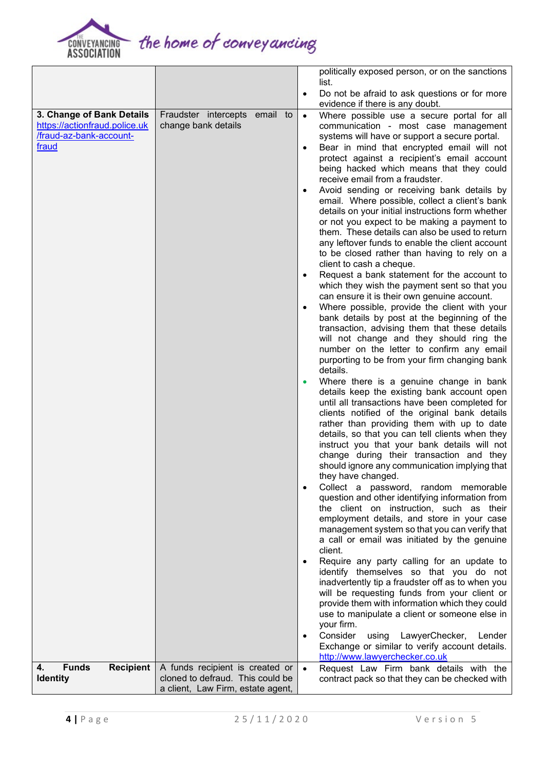

the home of conveyancing

|                                        |                                                                       |  |           | politically exposed person, or on the sanctions                                                 |
|----------------------------------------|-----------------------------------------------------------------------|--|-----------|-------------------------------------------------------------------------------------------------|
|                                        |                                                                       |  | $\bullet$ | list.<br>Do not be afraid to ask questions or for more                                          |
|                                        |                                                                       |  |           | evidence if there is any doubt.                                                                 |
| 3. Change of Bank Details              | Fraudster intercepts email to                                         |  | $\bullet$ | Where possible use a secure portal for all                                                      |
| https://actionfraud.police.uk          | change bank details                                                   |  |           | communication - most case management                                                            |
| /fraud-az-bank-account-                |                                                                       |  |           | systems will have or support a secure portal.                                                   |
| fraud                                  |                                                                       |  | $\bullet$ | Bear in mind that encrypted email will not                                                      |
|                                        |                                                                       |  |           | protect against a recipient's email account                                                     |
|                                        |                                                                       |  |           | being hacked which means that they could<br>receive email from a fraudster.                     |
|                                        |                                                                       |  | $\bullet$ | Avoid sending or receiving bank details by                                                      |
|                                        |                                                                       |  |           | email. Where possible, collect a client's bank                                                  |
|                                        |                                                                       |  |           | details on your initial instructions form whether                                               |
|                                        |                                                                       |  |           | or not you expect to be making a payment to                                                     |
|                                        |                                                                       |  |           | them. These details can also be used to return                                                  |
|                                        |                                                                       |  |           | any leftover funds to enable the client account                                                 |
|                                        |                                                                       |  |           | to be closed rather than having to rely on a<br>client to cash a cheque.                        |
|                                        |                                                                       |  | $\bullet$ | Request a bank statement for the account to                                                     |
|                                        |                                                                       |  |           | which they wish the payment sent so that you                                                    |
|                                        |                                                                       |  |           | can ensure it is their own genuine account.                                                     |
|                                        |                                                                       |  | $\bullet$ | Where possible, provide the client with your                                                    |
|                                        |                                                                       |  |           | bank details by post at the beginning of the                                                    |
|                                        |                                                                       |  |           | transaction, advising them that these details                                                   |
|                                        |                                                                       |  |           | will not change and they should ring the<br>number on the letter to confirm any email           |
|                                        |                                                                       |  |           | purporting to be from your firm changing bank                                                   |
|                                        |                                                                       |  |           | details.                                                                                        |
|                                        |                                                                       |  | $\bullet$ | Where there is a genuine change in bank                                                         |
|                                        |                                                                       |  |           | details keep the existing bank account open                                                     |
|                                        |                                                                       |  |           | until all transactions have been completed for<br>clients notified of the original bank details |
|                                        |                                                                       |  |           | rather than providing them with up to date                                                      |
|                                        |                                                                       |  |           | details, so that you can tell clients when they                                                 |
|                                        |                                                                       |  |           | instruct you that your bank details will not                                                    |
|                                        |                                                                       |  |           | change during their transaction and they                                                        |
|                                        |                                                                       |  |           | should ignore any communication implying that                                                   |
|                                        |                                                                       |  | $\bullet$ | they have changed.<br>Collect a password, random memorable                                      |
|                                        |                                                                       |  |           | question and other identifying information from                                                 |
|                                        |                                                                       |  |           | the client on instruction, such as their                                                        |
|                                        |                                                                       |  |           | employment details, and store in your case                                                      |
|                                        |                                                                       |  |           | management system so that you can verify that                                                   |
|                                        |                                                                       |  |           | a call or email was initiated by the genuine<br>client.                                         |
|                                        |                                                                       |  | $\bullet$ | Require any party calling for an update to                                                      |
|                                        |                                                                       |  |           | identify themselves so that you do not                                                          |
|                                        |                                                                       |  |           | inadvertently tip a fraudster off as to when you                                                |
|                                        |                                                                       |  |           | will be requesting funds from your client or                                                    |
|                                        |                                                                       |  |           | provide them with information which they could<br>use to manipulate a client or someone else in |
|                                        |                                                                       |  |           | your firm.                                                                                      |
|                                        |                                                                       |  | $\bullet$ | Consider<br>using LawyerChecker,<br>Lender                                                      |
|                                        |                                                                       |  |           | Exchange or similar to verify account details.                                                  |
|                                        |                                                                       |  |           | http://www.lawyerchecker.co.uk                                                                  |
| <b>Funds</b><br><b>Recipient</b><br>4. | A funds recipient is created or                                       |  | $\bullet$ | Request Law Firm bank details with the                                                          |
| <b>Identity</b>                        | cloned to defraud. This could be<br>a client, Law Firm, estate agent, |  |           | contract pack so that they can be checked with                                                  |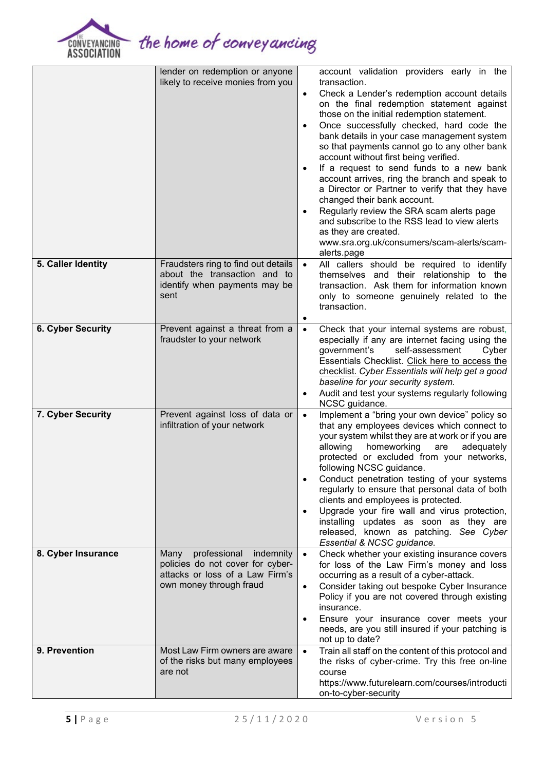

the home of conveyancing

|                          | lender on redemption or anyone<br>likely to receive monies from you                                                                 | $\bullet$<br>$\bullet$<br>$\bullet$<br>$\bullet$ | account validation providers early in the<br>transaction.<br>Check a Lender's redemption account details<br>on the final redemption statement against<br>those on the initial redemption statement.<br>Once successfully checked, hard code the<br>bank details in your case management system<br>so that payments cannot go to any other bank<br>account without first being verified.<br>If a request to send funds to a new bank<br>account arrives, ring the branch and speak to<br>a Director or Partner to verify that they have<br>changed their bank account.<br>Regularly review the SRA scam alerts page<br>and subscribe to the RSS lead to view alerts<br>as they are created.<br>www.sra.org.uk/consumers/scam-alerts/scam-<br>alerts.page |
|--------------------------|-------------------------------------------------------------------------------------------------------------------------------------|--------------------------------------------------|---------------------------------------------------------------------------------------------------------------------------------------------------------------------------------------------------------------------------------------------------------------------------------------------------------------------------------------------------------------------------------------------------------------------------------------------------------------------------------------------------------------------------------------------------------------------------------------------------------------------------------------------------------------------------------------------------------------------------------------------------------|
| 5. Caller Identity       | Fraudsters ring to find out details<br>about the transaction and to<br>identify when payments may be<br>sent                        | $\bullet$<br>٠                                   | All callers should be required to identify<br>themselves and their relationship to the<br>transaction. Ask them for information known<br>only to someone genuinely related to the<br>transaction.                                                                                                                                                                                                                                                                                                                                                                                                                                                                                                                                                       |
| <b>6. Cyber Security</b> | Prevent against a threat from a<br>fraudster to your network                                                                        | $\bullet$<br>$\bullet$                           | Check that your internal systems are robust,<br>especially if any are internet facing using the<br>self-assessment<br>government's<br>Cyber<br>Essentials Checklist. Click here to access the<br>checklist. Cyber Essentials will help get a good<br>baseline for your security system.<br>Audit and test your systems regularly following<br>NCSC guidance.                                                                                                                                                                                                                                                                                                                                                                                            |
| 7. Cyber Security        | Prevent against loss of data or<br>infiltration of your network                                                                     | $\bullet$<br>$\bullet$                           | Implement a "bring your own device" policy so<br>that any employees devices which connect to<br>your system whilst they are at work or if you are<br>allowing<br>homeworking<br>adequately<br>are<br>protected or excluded from your networks,<br>following NCSC guidance.<br>Conduct penetration testing of your systems<br>regularly to ensure that personal data of both<br>clients and employees is protected.<br>Upgrade your fire wall and virus protection,<br>installing updates as soon as they are<br>released, known as patching. See Cyber<br>Essential & NCSC guidance.                                                                                                                                                                    |
| 8. Cyber Insurance       | professional<br>indemnity<br>Many<br>policies do not cover for cyber-<br>attacks or loss of a Law Firm's<br>own money through fraud | $\bullet$<br>$\bullet$<br>$\bullet$              | Check whether your existing insurance covers<br>for loss of the Law Firm's money and loss<br>occurring as a result of a cyber-attack.<br>Consider taking out bespoke Cyber Insurance<br>Policy if you are not covered through existing<br>insurance.<br>Ensure your insurance cover meets your<br>needs, are you still insured if your patching is<br>not up to date?                                                                                                                                                                                                                                                                                                                                                                                   |
| 9. Prevention            | Most Law Firm owners are aware<br>of the risks but many employees<br>are not                                                        | $\bullet$                                        | Train all staff on the content of this protocol and<br>the risks of cyber-crime. Try this free on-line<br>course<br>https://www.futurelearn.com/courses/introducti<br>on-to-cyber-security                                                                                                                                                                                                                                                                                                                                                                                                                                                                                                                                                              |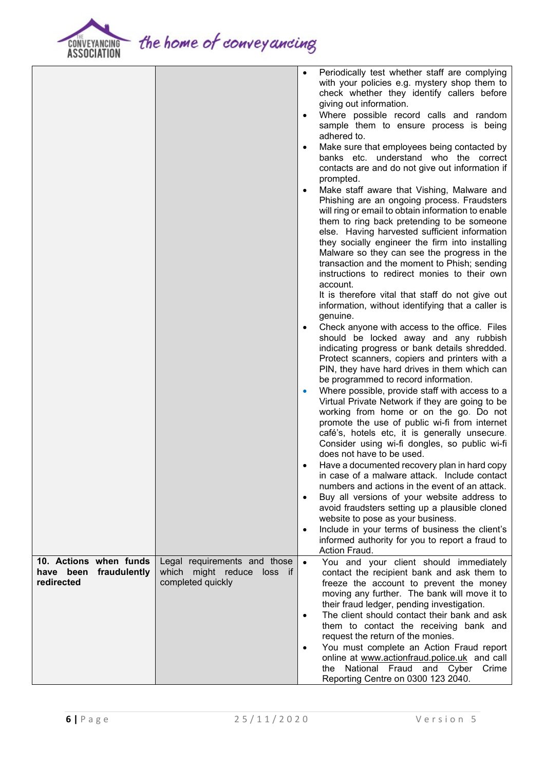

the home of conveyancing

|                        |                              | $\bullet$ | Periodically test whether staff are complying<br>with your policies e.g. mystery shop them to<br>check whether they identify callers before |
|------------------------|------------------------------|-----------|---------------------------------------------------------------------------------------------------------------------------------------------|
|                        |                              |           | giving out information.                                                                                                                     |
|                        |                              | $\bullet$ | Where possible record calls and random<br>sample them to ensure process is being                                                            |
|                        |                              |           | adhered to.                                                                                                                                 |
|                        |                              | $\bullet$ | Make sure that employees being contacted by                                                                                                 |
|                        |                              |           | banks etc. understand who the correct<br>contacts are and do not give out information if<br>prompted.                                       |
|                        |                              | $\bullet$ | Make staff aware that Vishing, Malware and                                                                                                  |
|                        |                              |           | Phishing are an ongoing process. Fraudsters<br>will ring or email to obtain information to enable                                           |
|                        |                              |           | them to ring back pretending to be someone                                                                                                  |
|                        |                              |           | else. Having harvested sufficient information                                                                                               |
|                        |                              |           | they socially engineer the firm into installing                                                                                             |
|                        |                              |           | Malware so they can see the progress in the                                                                                                 |
|                        |                              |           | transaction and the moment to Phish; sending                                                                                                |
|                        |                              |           | instructions to redirect monies to their own                                                                                                |
|                        |                              |           | account.                                                                                                                                    |
|                        |                              |           | It is therefore vital that staff do not give out<br>information, without identifying that a caller is                                       |
|                        |                              |           | genuine.                                                                                                                                    |
|                        |                              | $\bullet$ | Check anyone with access to the office. Files                                                                                               |
|                        |                              |           | should be locked away and any rubbish                                                                                                       |
|                        |                              |           | indicating progress or bank details shredded.                                                                                               |
|                        |                              |           | Protect scanners, copiers and printers with a                                                                                               |
|                        |                              |           | PIN, they have hard drives in them which can                                                                                                |
|                        |                              | $\bullet$ | be programmed to record information.<br>Where possible, provide staff with access to a                                                      |
|                        |                              |           | Virtual Private Network if they are going to be                                                                                             |
|                        |                              |           | working from home or on the go. Do not                                                                                                      |
|                        |                              |           | promote the use of public wi-fi from internet                                                                                               |
|                        |                              |           | café's, hotels etc, it is generally unsecure.                                                                                               |
|                        |                              |           | Consider using wi-fi dongles, so public wi-fi<br>does not have to be used.                                                                  |
|                        |                              | $\bullet$ | Have a documented recovery plan in hard copy                                                                                                |
|                        |                              |           | in case of a malware attack. Include contact<br>numbers and actions in the event of an attack.                                              |
|                        |                              | $\bullet$ | Buy all versions of your website address to                                                                                                 |
|                        |                              |           | avoid fraudsters setting up a plausible cloned                                                                                              |
|                        |                              |           | website to pose as your business.                                                                                                           |
|                        |                              | $\bullet$ | Include in your terms of business the client's                                                                                              |
|                        |                              |           | informed authority for you to report a fraud to<br>Action Fraud.                                                                            |
| 10. Actions when funds | Legal requirements and those | $\bullet$ | You and your client should immediately                                                                                                      |
| have been fraudulently | which might reduce loss if   |           | contact the recipient bank and ask them to                                                                                                  |
| redirected             | completed quickly            |           | freeze the account to prevent the money                                                                                                     |
|                        |                              |           | moving any further. The bank will move it to                                                                                                |
|                        |                              |           | their fraud ledger, pending investigation.                                                                                                  |
|                        |                              | $\bullet$ | The client should contact their bank and ask                                                                                                |
|                        |                              |           | them to contact the receiving bank and                                                                                                      |
|                        |                              | $\bullet$ | request the return of the monies.<br>You must complete an Action Fraud report                                                               |
|                        |                              |           | online at www.actionfraud.police.uk and call                                                                                                |
|                        |                              |           | the National Fraud and Cyber Crime                                                                                                          |
|                        |                              |           | Reporting Centre on 0300 123 2040.                                                                                                          |